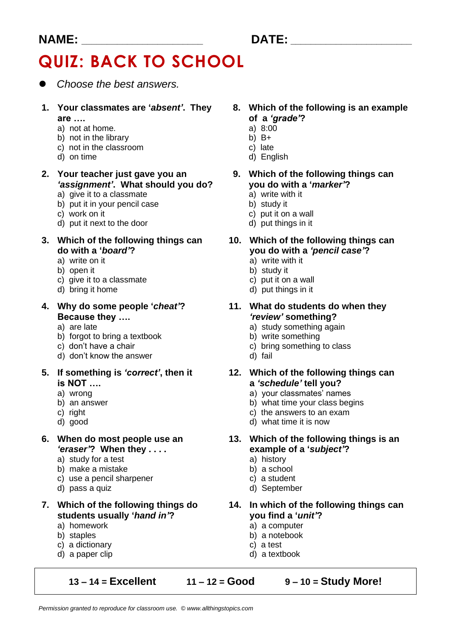#### **NAME: \_\_\_\_\_\_\_\_\_\_\_\_\_\_\_\_\_\_\_\_\_\_\_\_ DATE: \_\_\_\_\_\_\_\_\_\_\_\_\_\_\_\_\_\_\_\_\_\_\_\_**

# **QUIZ: BACK TO SCHOOL**

- ⚫ *Choose the best answers.*
- are ….<br>
a) not at home.<br> **a**) a  $\frac{8:00}{1}$ 
	-
	- a) not at home. <br>
	a) 8:0 a) 8:0 a) 8:0 a) 8:0 a) 8:0 a) 8:0 a) 8:0 a) 8:0 a) 8:0 a) 8:0 a) 8:0 a) 8:0 a) 8:0 a) 8:0 a) 8:0 a) 8:0 a) 8:0 a) 8:0 a) 8:0 a) 8:0 a) 8:0 a) 8:0 a) 8:0 a) 8:0 a) 8:0 a) 8:0 a) 8:0 a) 8:0 a) 8:0 a
	- b) not in the library b)  $B+$ <br>c) not in the classroom c) late c) not in the classroom<br>d) on time
	-
- **2. Your teacher just gave you an 9. Which of the following things can** *'assignment'***. What should you do? you do with a '***marker'***?**
	- a) give it to a classmate a) write with it in your pencil case and a study it and a study it
	- b) put it in your pencil case
	-
	- d) put it next to the door d) put things in it
- **do with a '***board'***? you do with a** *'pencil case'***?**
	- a) write on it a) write with it
	-
	- b) open it<br>
	c) give it to a classmate <br>
	b) study it<br>
	c) put it on a wall c) give it to a classmate<br>d) bring it home
	-
- **Because they ….** *'review'* **something?**
	-
	- b) forgot to bring a textbook<br>c) don't have a chair
	-
	- d) don't know the answer d) fail
- **is NOT …. a** *'schedule'* **tell you?**
	-
	-
	-
	-
- *'eraser'***? When they . . . . example of a '***subject'***?**
	- a) study for a test and a) history<br>b) make a mistake b) a school
	- b) make a mistake
	- c) use a pencil sharpener c) a student
	-
- **students usually '***hand in'***? you find a '***unit'***?**
	- a) homework a) a computer<br>b) staples b) a notebook
	-
	- c) a dictionary c) a test
	-

**13 – 14 = Excellent 11 – 12 = Good 9 – 10 = Study More!**

- **1. Your classmates are '***absent'***. They 8. Which of the following is an example**
	-
	-
	-
	- d) English
	- -
		-
	- c) work on it c) work on it
		-
- **3. Which of the following things can 10. Which of the following things can**
	-
	-
	-
	- d) put things in it
- **4. Why do some people '***cheat'***? 11. What do students do when they**
	- a) are late a) are late a) study something again<br>b) forgot to bring a textbook b) write something
		-
		- c) bring something to class
		-
- **5. If something is** *'correct'***, then it 12. Which of the following things can**
	- a) wrong a) your classmates' names
	- b) an answer b) what time your class begins
	- c) right c) right
	- d) good d) what time it is now
- **6. When do most people use an 13. Which of the following things is an**
	-
	-
	-
	- d) pass a quiz d) September
- **7. Which of the following things do 14. In which of the following things can**
	-
	- $b)$  a notebook
	-
	- d) a paper clip d) a textbook